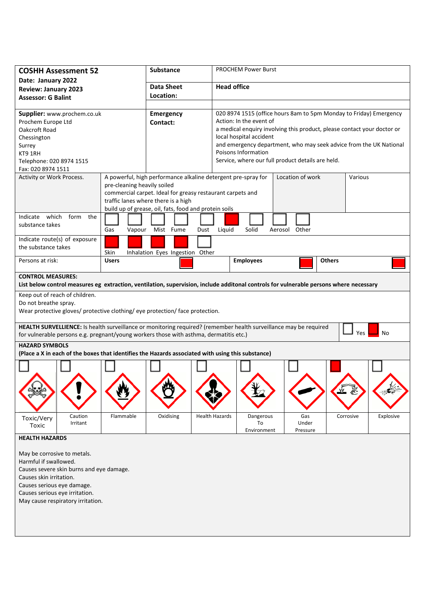| <b>COSHH Assessment 52</b>                                                                                                                                                                                                       |                             | Substance                                                                                                                                                                                                                   |                       | <b>PROCHEM Power Burst</b>                                                                                                                                                                                                                                                                                                                            |                          |               |           |
|----------------------------------------------------------------------------------------------------------------------------------------------------------------------------------------------------------------------------------|-----------------------------|-----------------------------------------------------------------------------------------------------------------------------------------------------------------------------------------------------------------------------|-----------------------|-------------------------------------------------------------------------------------------------------------------------------------------------------------------------------------------------------------------------------------------------------------------------------------------------------------------------------------------------------|--------------------------|---------------|-----------|
| Date: January 2022<br><b>Review: January 2023</b>                                                                                                                                                                                |                             | <b>Data Sheet</b>                                                                                                                                                                                                           |                       | <b>Head office</b>                                                                                                                                                                                                                                                                                                                                    |                          |               |           |
| <b>Assessor: G Balint</b>                                                                                                                                                                                                        |                             | Location:                                                                                                                                                                                                                   |                       |                                                                                                                                                                                                                                                                                                                                                       |                          |               |           |
| Supplier: www.prochem.co.uk<br>Prochem Europe Ltd<br>Oakcroft Road<br>Chessington<br>Surrey<br>KT9 1RH<br>Telephone: 020 8974 1515<br>Fax: 020 8974 1511                                                                         |                             | <b>Emergency</b><br>Contact:                                                                                                                                                                                                |                       | 020 8974 1515 (office hours 8am to 5pm Monday to Friday) Emergency<br>Action: In the event of<br>a medical enquiry involving this product, please contact your doctor or<br>local hospital accident<br>and emergency department, who may seek advice from the UK National<br>Poisons Information<br>Service, where our full product details are held. |                          |               |           |
| Activity or Work Process.                                                                                                                                                                                                        | pre-cleaning heavily soiled | A powerful, high performance alkaline detergent pre-spray for<br>commercial carpet. Ideal for greasy restaurant carpets and<br>traffic lanes where there is a high<br>build up of grease, oil, fats, food and protein soils |                       |                                                                                                                                                                                                                                                                                                                                                       | Location of work         | Various       |           |
| Indicate which<br>form<br>the<br>substance takes                                                                                                                                                                                 | Gas<br>Vapour               | Mist Fume                                                                                                                                                                                                                   | Liquid<br>Dust        | Solid                                                                                                                                                                                                                                                                                                                                                 | Aerosol Other            |               |           |
| Indicate route(s) of exposure<br>the substance takes                                                                                                                                                                             | Skin                        | Inhalation Eyes Ingestion Other                                                                                                                                                                                             |                       |                                                                                                                                                                                                                                                                                                                                                       |                          |               |           |
| Persons at risk:                                                                                                                                                                                                                 | <b>Users</b>                |                                                                                                                                                                                                                             |                       | <b>Employees</b>                                                                                                                                                                                                                                                                                                                                      |                          | <b>Others</b> |           |
| <b>CONTROL MEASURES:</b><br>List below control measures eg extraction, ventilation, supervision, include additonal controls for vulnerable persons where necessary                                                               |                             |                                                                                                                                                                                                                             |                       |                                                                                                                                                                                                                                                                                                                                                       |                          |               |           |
| Keep out of reach of children.<br>Do not breathe spray.<br>Wear protective gloves/ protective clothing/ eye protection/ face protection.                                                                                         |                             |                                                                                                                                                                                                                             |                       |                                                                                                                                                                                                                                                                                                                                                       |                          |               |           |
| HEALTH SURVELLIENCE: Is health surveillance or monitoring required? (remember health surveillance may be required<br>No<br>Yes<br>for vulnerable persons e.g. pregnant/young workers those with asthma, dermatitis etc.)         |                             |                                                                                                                                                                                                                             |                       |                                                                                                                                                                                                                                                                                                                                                       |                          |               |           |
| <b>HAZARD SYMBOLS</b><br>(Place a X in each of the boxes that identifies the Hazards associated with using this substance)                                                                                                       |                             |                                                                                                                                                                                                                             |                       |                                                                                                                                                                                                                                                                                                                                                       |                          |               |           |
|                                                                                                                                                                                                                                  |                             |                                                                                                                                                                                                                             |                       |                                                                                                                                                                                                                                                                                                                                                       |                          |               |           |
| Caution<br>Toxic/Very<br>Irritant<br>Toxic                                                                                                                                                                                       | Flammable                   | Oxidising                                                                                                                                                                                                                   | <b>Health Hazards</b> | Dangerous<br>To<br>Environment                                                                                                                                                                                                                                                                                                                        | Gas<br>Under<br>Pressure | Corrosive     | Explosive |
| <b>HEALTH HAZARDS</b>                                                                                                                                                                                                            |                             |                                                                                                                                                                                                                             |                       |                                                                                                                                                                                                                                                                                                                                                       |                          |               |           |
| May be corrosive to metals.<br>Harmful if swallowed.<br>Causes severe skin burns and eye damage.<br>Causes skin irritation.<br>Causes serious eye damage.<br>Causes serious eye irritation.<br>May cause respiratory irritation. |                             |                                                                                                                                                                                                                             |                       |                                                                                                                                                                                                                                                                                                                                                       |                          |               |           |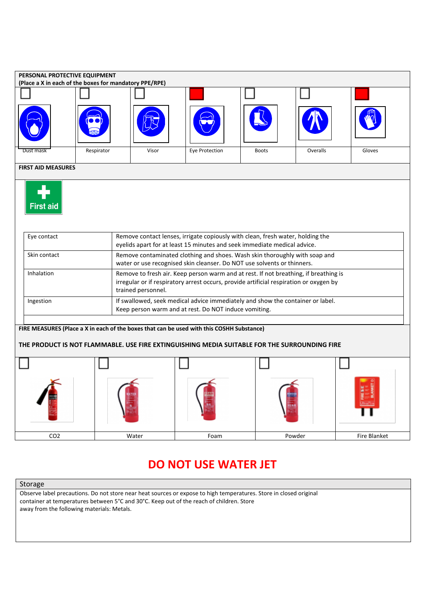

## Storage

Observe label precautions. Do not store near heat sources or expose to high temperatures. Store in closed original container at temperatures between 5°C and 30°C. Keep out of the reach of children. Store away from the following materials: Metals.